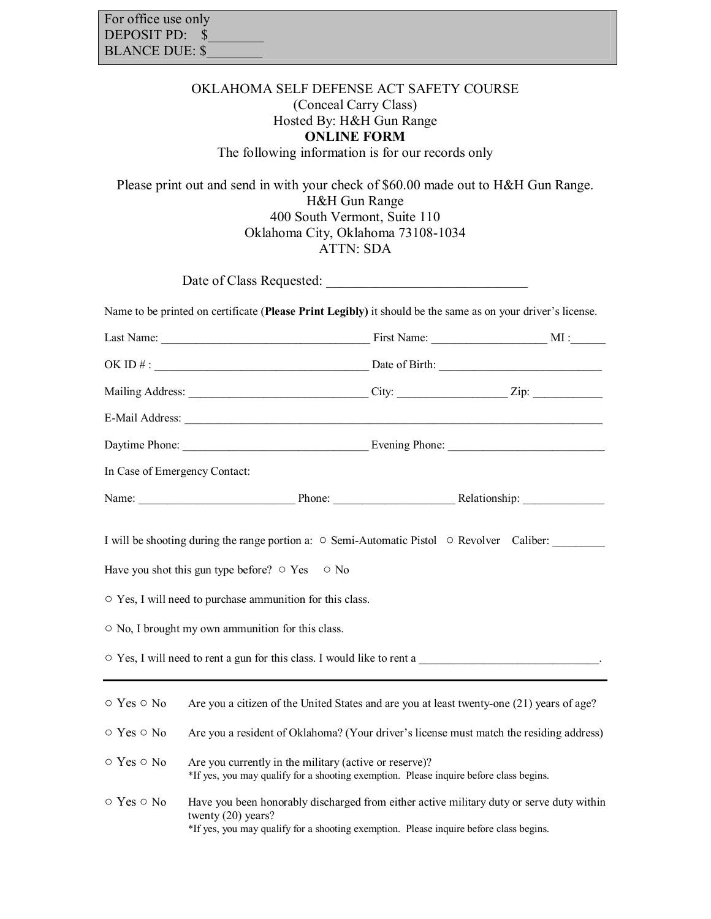| For office use only   |
|-----------------------|
| DEPOSIT PD: \$        |
| <b>BLANCE DUE: \$</b> |

## OKLAHOMA SELF DEFENSE ACT SAFETY COURSE (Conceal Carry Class) Hosted By: H&H Gun Range **ONLINE FORM**  The following information is for our records only

Please print out and send in with your check of \$60.00 made out to H&H Gun Range. H&H Gun Range 400 South Vermont, Suite 110 Oklahoma City, Oklahoma 73108-1034 ATTN: SDA

|                                                                | Name to be printed on certificate (Please Print Legibly) it should be the same as on your driver's license.                                                                                                                                                                                                                              |  |
|----------------------------------------------------------------|------------------------------------------------------------------------------------------------------------------------------------------------------------------------------------------------------------------------------------------------------------------------------------------------------------------------------------------|--|
|                                                                |                                                                                                                                                                                                                                                                                                                                          |  |
|                                                                |                                                                                                                                                                                                                                                                                                                                          |  |
|                                                                |                                                                                                                                                                                                                                                                                                                                          |  |
|                                                                |                                                                                                                                                                                                                                                                                                                                          |  |
|                                                                |                                                                                                                                                                                                                                                                                                                                          |  |
| In Case of Emergency Contact:                                  |                                                                                                                                                                                                                                                                                                                                          |  |
|                                                                | Name: Name: Name: Name: Name: Name: Name: Nelationship: Nelationship: Nelationship: Nelationship: Nelationship: Nelationship: Nelationship: Nelationship: Nelationship: Nelationship: Nelationship: Nelationship: Nelationship                                                                                                           |  |
|                                                                | I will be shooting during the range portion a: $\circ$ Semi-Automatic Pistol $\circ$ Revolver Caliber:<br>Have you shot this gun type before? $\circ$ Yes $\circ$ No<br>○ Yes, I will need to purchase ammunition for this class.<br>○ No, I brought my own ammunition for this class.                                                   |  |
| ○ Yes ○ No<br>$\circ$ Yes $\circ$ No<br>$\circ$ Yes $\circ$ No | Are you a citizen of the United States and are you at least twenty-one (21) years of age?<br>Are you a resident of Oklahoma? (Your driver's license must match the residing address)<br>Are you currently in the military (active or reserve)?<br>*If yes, you may qualify for a shooting exemption. Please inquire before class begins. |  |
| $\circ$ Yes $\circ$ No                                         | Have you been honorably discharged from either active military duty or serve duty within<br>twenty $(20)$ years?                                                                                                                                                                                                                         |  |

\*If yes, you may qualify for a shooting exemption. Please inquire before class begins.